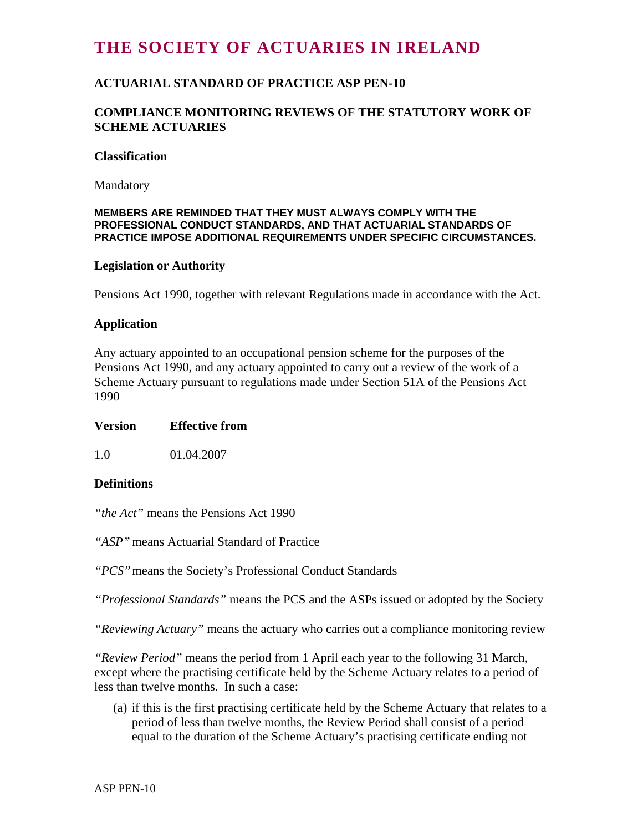# **THE SOCIETY OF ACTUARIES IN IRELAND**

# **ACTUARIAL STANDARD OF PRACTICE ASP PEN-10**

## **COMPLIANCE MONITORING REVIEWS OF THE STATUTORY WORK OF SCHEME ACTUARIES**

#### **Classification**

Mandatory

#### **MEMBERS ARE REMINDED THAT THEY MUST ALWAYS COMPLY WITH THE PROFESSIONAL CONDUCT STANDARDS, AND THAT ACTUARIAL STANDARDS OF PRACTICE IMPOSE ADDITIONAL REQUIREMENTS UNDER SPECIFIC CIRCUMSTANCES.**

#### **Legislation or Authority**

Pensions Act 1990, together with relevant Regulations made in accordance with the Act.

#### **Application**

Any actuary appointed to an occupational pension scheme for the purposes of the Pensions Act 1990, and any actuary appointed to carry out a review of the work of a Scheme Actuary pursuant to regulations made under Section 51A of the Pensions Act 1990

#### **Version Effective from**

1.0 01.04.2007

## **Definitions**

*"the Act"* means the Pensions Act 1990

*"ASP"* means Actuarial Standard of Practice

*"PCS"* means the Society's Professional Conduct Standards

*"Professional Standards"* means the PCS and the ASPs issued or adopted by the Society

*"Reviewing Actuary"* means the actuary who carries out a compliance monitoring review

*"Review Period"* means the period from 1 April each year to the following 31 March, except where the practising certificate held by the Scheme Actuary relates to a period of less than twelve months. In such a case:

(a) if this is the first practising certificate held by the Scheme Actuary that relates to a period of less than twelve months, the Review Period shall consist of a period equal to the duration of the Scheme Actuary's practising certificate ending not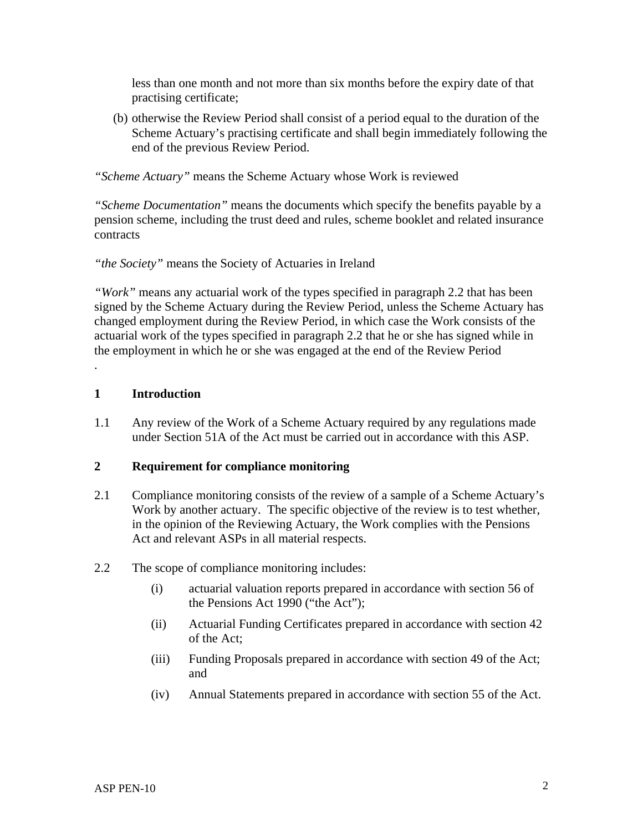less than one month and not more than six months before the expiry date of that practising certificate;

(b) otherwise the Review Period shall consist of a period equal to the duration of the Scheme Actuary's practising certificate and shall begin immediately following the end of the previous Review Period.

*"Scheme Actuary"* means the Scheme Actuary whose Work is reviewed

*"Scheme Documentation"* means the documents which specify the benefits payable by a pension scheme, including the trust deed and rules, scheme booklet and related insurance contracts

*"the Society"* means the Society of Actuaries in Ireland

*"Work"* means any actuarial work of the types specified in paragraph 2.2 that has been signed by the Scheme Actuary during the Review Period, unless the Scheme Actuary has changed employment during the Review Period, in which case the Work consists of the actuarial work of the types specified in paragraph 2.2 that he or she has signed while in the employment in which he or she was engaged at the end of the Review Period

#### **1 Introduction**

.

1.1 Any review of the Work of a Scheme Actuary required by any regulations made under Section 51A of the Act must be carried out in accordance with this ASP.

#### **2 Requirement for compliance monitoring**

- 2.1 Compliance monitoring consists of the review of a sample of a Scheme Actuary's Work by another actuary. The specific objective of the review is to test whether, in the opinion of the Reviewing Actuary, the Work complies with the Pensions Act and relevant ASPs in all material respects.
- 2.2 The scope of compliance monitoring includes:
	- (i) actuarial valuation reports prepared in accordance with section 56 of the Pensions Act 1990 ("the Act");
	- (ii) Actuarial Funding Certificates prepared in accordance with section 42 of the Act;
	- (iii) Funding Proposals prepared in accordance with section 49 of the Act; and
	- (iv) Annual Statements prepared in accordance with section 55 of the Act.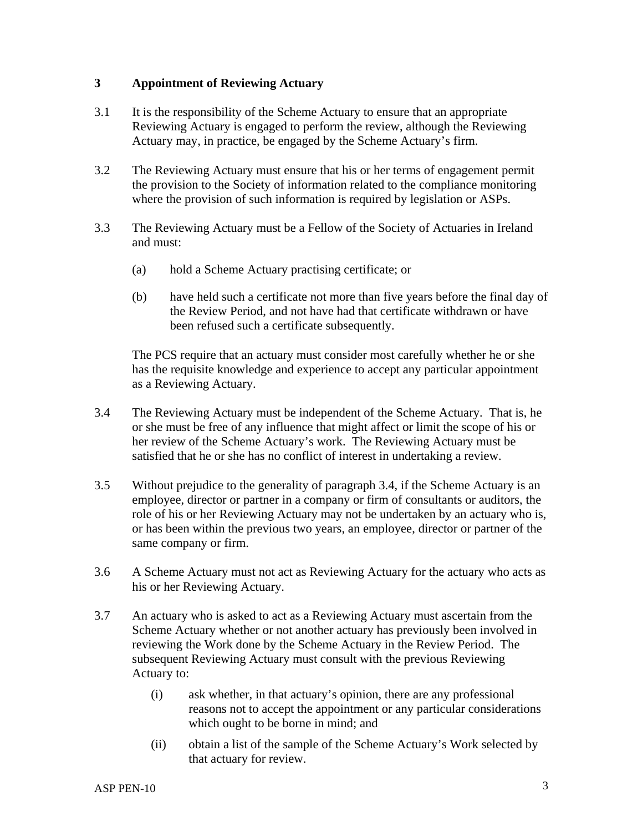## **3 Appointment of Reviewing Actuary**

- 3.1 It is the responsibility of the Scheme Actuary to ensure that an appropriate Reviewing Actuary is engaged to perform the review, although the Reviewing Actuary may, in practice, be engaged by the Scheme Actuary's firm.
- 3.2 The Reviewing Actuary must ensure that his or her terms of engagement permit the provision to the Society of information related to the compliance monitoring where the provision of such information is required by legislation or ASPs.
- 3.3 The Reviewing Actuary must be a Fellow of the Society of Actuaries in Ireland and must:
	- (a) hold a Scheme Actuary practising certificate; or
	- (b) have held such a certificate not more than five years before the final day of the Review Period, and not have had that certificate withdrawn or have been refused such a certificate subsequently.

The PCS require that an actuary must consider most carefully whether he or she has the requisite knowledge and experience to accept any particular appointment as a Reviewing Actuary.

- 3.4 The Reviewing Actuary must be independent of the Scheme Actuary. That is, he or she must be free of any influence that might affect or limit the scope of his or her review of the Scheme Actuary's work. The Reviewing Actuary must be satisfied that he or she has no conflict of interest in undertaking a review.
- 3.5 Without prejudice to the generality of paragraph 3.4, if the Scheme Actuary is an employee, director or partner in a company or firm of consultants or auditors, the role of his or her Reviewing Actuary may not be undertaken by an actuary who is, or has been within the previous two years, an employee, director or partner of the same company or firm.
- 3.6 A Scheme Actuary must not act as Reviewing Actuary for the actuary who acts as his or her Reviewing Actuary.
- 3.7 An actuary who is asked to act as a Reviewing Actuary must ascertain from the Scheme Actuary whether or not another actuary has previously been involved in reviewing the Work done by the Scheme Actuary in the Review Period. The subsequent Reviewing Actuary must consult with the previous Reviewing Actuary to:
	- (i) ask whether, in that actuary's opinion, there are any professional reasons not to accept the appointment or any particular considerations which ought to be borne in mind; and
	- (ii) obtain a list of the sample of the Scheme Actuary's Work selected by that actuary for review.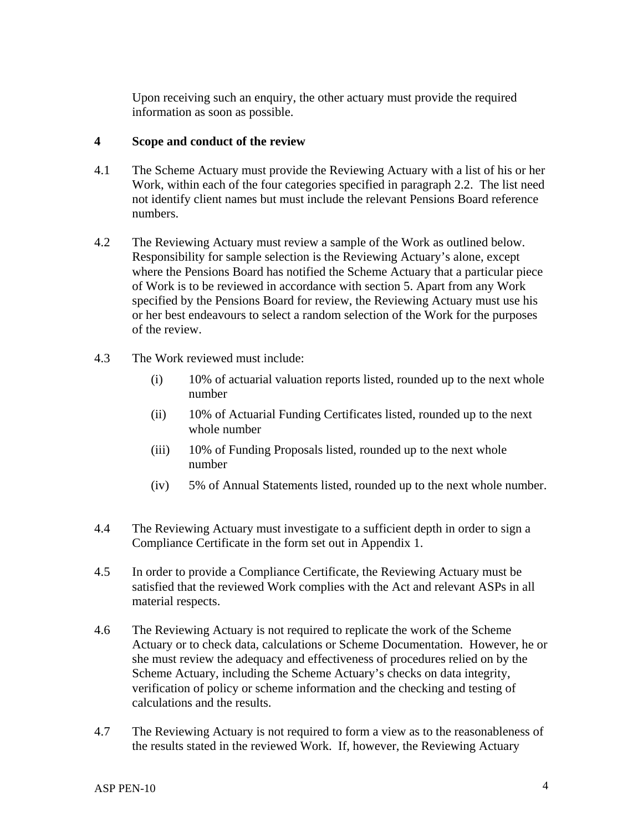Upon receiving such an enquiry, the other actuary must provide the required information as soon as possible.

## **4 Scope and conduct of the review**

- 4.1 The Scheme Actuary must provide the Reviewing Actuary with a list of his or her Work, within each of the four categories specified in paragraph 2.2. The list need not identify client names but must include the relevant Pensions Board reference numbers.
- 4.2 The Reviewing Actuary must review a sample of the Work as outlined below. Responsibility for sample selection is the Reviewing Actuary's alone, except where the Pensions Board has notified the Scheme Actuary that a particular piece of Work is to be reviewed in accordance with section 5. Apart from any Work specified by the Pensions Board for review, the Reviewing Actuary must use his or her best endeavours to select a random selection of the Work for the purposes of the review.
- 4.3 The Work reviewed must include:
	- (i) 10% of actuarial valuation reports listed, rounded up to the next whole number
	- (ii) 10% of Actuarial Funding Certificates listed, rounded up to the next whole number
	- (iii) 10% of Funding Proposals listed, rounded up to the next whole number
	- (iv) 5% of Annual Statements listed, rounded up to the next whole number.
- 4.4 The Reviewing Actuary must investigate to a sufficient depth in order to sign a Compliance Certificate in the form set out in Appendix 1.
- 4.5 In order to provide a Compliance Certificate, the Reviewing Actuary must be satisfied that the reviewed Work complies with the Act and relevant ASPs in all material respects.
- 4.6 The Reviewing Actuary is not required to replicate the work of the Scheme Actuary or to check data, calculations or Scheme Documentation. However, he or she must review the adequacy and effectiveness of procedures relied on by the Scheme Actuary, including the Scheme Actuary's checks on data integrity, verification of policy or scheme information and the checking and testing of calculations and the results.
- 4.7 The Reviewing Actuary is not required to form a view as to the reasonableness of the results stated in the reviewed Work. If, however, the Reviewing Actuary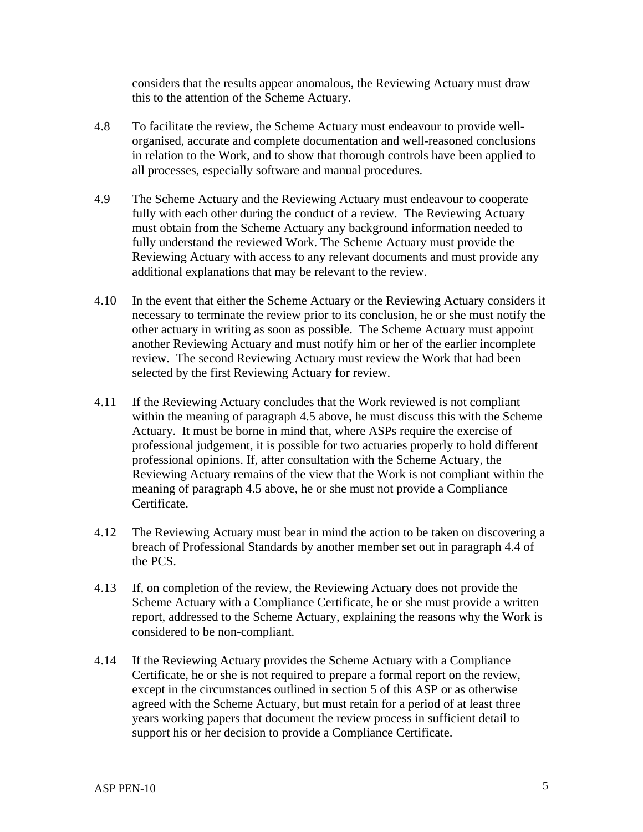considers that the results appear anomalous, the Reviewing Actuary must draw this to the attention of the Scheme Actuary.

- 4.8 To facilitate the review, the Scheme Actuary must endeavour to provide wellorganised, accurate and complete documentation and well-reasoned conclusions in relation to the Work, and to show that thorough controls have been applied to all processes, especially software and manual procedures.
- 4.9 The Scheme Actuary and the Reviewing Actuary must endeavour to cooperate fully with each other during the conduct of a review. The Reviewing Actuary must obtain from the Scheme Actuary any background information needed to fully understand the reviewed Work. The Scheme Actuary must provide the Reviewing Actuary with access to any relevant documents and must provide any additional explanations that may be relevant to the review.
- 4.10 In the event that either the Scheme Actuary or the Reviewing Actuary considers it necessary to terminate the review prior to its conclusion, he or she must notify the other actuary in writing as soon as possible. The Scheme Actuary must appoint another Reviewing Actuary and must notify him or her of the earlier incomplete review. The second Reviewing Actuary must review the Work that had been selected by the first Reviewing Actuary for review.
- 4.11 If the Reviewing Actuary concludes that the Work reviewed is not compliant within the meaning of paragraph 4.5 above, he must discuss this with the Scheme Actuary. It must be borne in mind that, where ASPs require the exercise of professional judgement, it is possible for two actuaries properly to hold different professional opinions. If, after consultation with the Scheme Actuary, the Reviewing Actuary remains of the view that the Work is not compliant within the meaning of paragraph 4.5 above, he or she must not provide a Compliance Certificate.
- 4.12 The Reviewing Actuary must bear in mind the action to be taken on discovering a breach of Professional Standards by another member set out in paragraph 4.4 of the PCS.
- 4.13 If, on completion of the review, the Reviewing Actuary does not provide the Scheme Actuary with a Compliance Certificate, he or she must provide a written report, addressed to the Scheme Actuary, explaining the reasons why the Work is considered to be non-compliant.
- 4.14 If the Reviewing Actuary provides the Scheme Actuary with a Compliance Certificate, he or she is not required to prepare a formal report on the review, except in the circumstances outlined in section 5 of this ASP or as otherwise agreed with the Scheme Actuary, but must retain for a period of at least three years working papers that document the review process in sufficient detail to support his or her decision to provide a Compliance Certificate.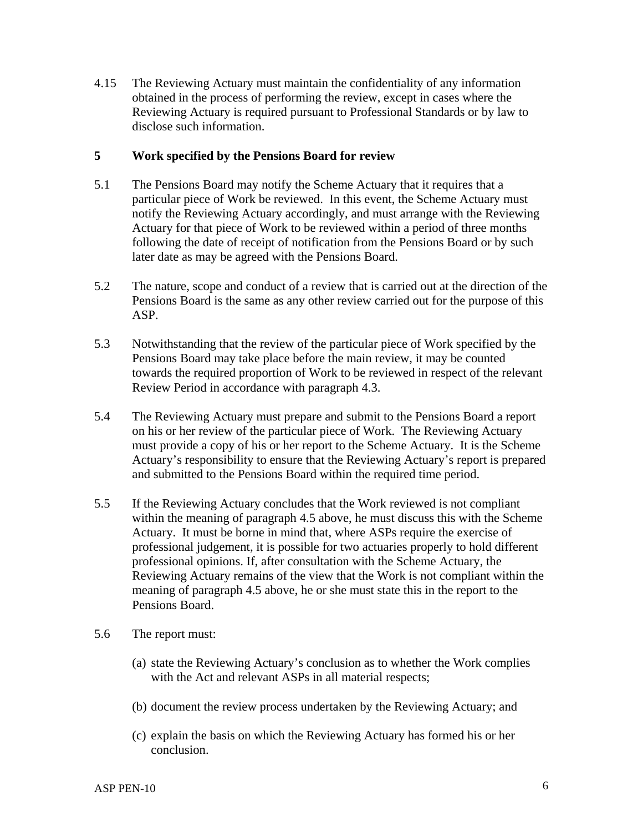4.15 The Reviewing Actuary must maintain the confidentiality of any information obtained in the process of performing the review, except in cases where the Reviewing Actuary is required pursuant to Professional Standards or by law to disclose such information.

## **5 Work specified by the Pensions Board for review**

- 5.1 The Pensions Board may notify the Scheme Actuary that it requires that a particular piece of Work be reviewed. In this event, the Scheme Actuary must notify the Reviewing Actuary accordingly, and must arrange with the Reviewing Actuary for that piece of Work to be reviewed within a period of three months following the date of receipt of notification from the Pensions Board or by such later date as may be agreed with the Pensions Board.
- 5.2 The nature, scope and conduct of a review that is carried out at the direction of the Pensions Board is the same as any other review carried out for the purpose of this ASP.
- 5.3 Notwithstanding that the review of the particular piece of Work specified by the Pensions Board may take place before the main review, it may be counted towards the required proportion of Work to be reviewed in respect of the relevant Review Period in accordance with paragraph 4.3.
- 5.4 The Reviewing Actuary must prepare and submit to the Pensions Board a report on his or her review of the particular piece of Work. The Reviewing Actuary must provide a copy of his or her report to the Scheme Actuary. It is the Scheme Actuary's responsibility to ensure that the Reviewing Actuary's report is prepared and submitted to the Pensions Board within the required time period.
- 5.5 If the Reviewing Actuary concludes that the Work reviewed is not compliant within the meaning of paragraph 4.5 above, he must discuss this with the Scheme Actuary. It must be borne in mind that, where ASPs require the exercise of professional judgement, it is possible for two actuaries properly to hold different professional opinions. If, after consultation with the Scheme Actuary, the Reviewing Actuary remains of the view that the Work is not compliant within the meaning of paragraph 4.5 above, he or she must state this in the report to the Pensions Board.
- 5.6 The report must:
	- (a) state the Reviewing Actuary's conclusion as to whether the Work complies with the Act and relevant ASPs in all material respects;
	- (b) document the review process undertaken by the Reviewing Actuary; and
	- (c) explain the basis on which the Reviewing Actuary has formed his or her conclusion.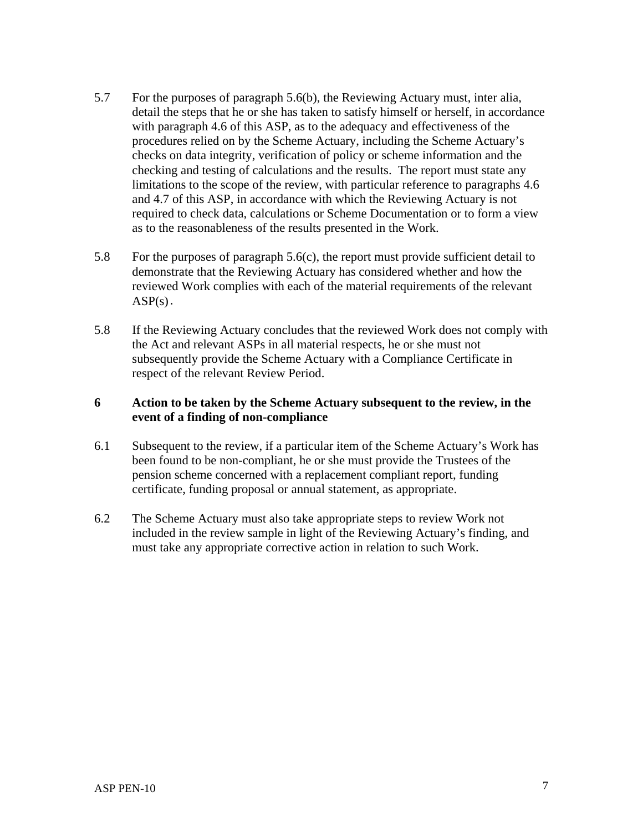- 5.7 For the purposes of paragraph 5.6(b), the Reviewing Actuary must, inter alia, detail the steps that he or she has taken to satisfy himself or herself, in accordance with paragraph 4.6 of this ASP, as to the adequacy and effectiveness of the procedures relied on by the Scheme Actuary, including the Scheme Actuary's checks on data integrity, verification of policy or scheme information and the checking and testing of calculations and the results. The report must state any limitations to the scope of the review, with particular reference to paragraphs 4.6 and 4.7 of this ASP, in accordance with which the Reviewing Actuary is not required to check data, calculations or Scheme Documentation or to form a view as to the reasonableness of the results presented in the Work.
- 5.8 For the purposes of paragraph 5.6(c), the report must provide sufficient detail to demonstrate that the Reviewing Actuary has considered whether and how the reviewed Work complies with each of the material requirements of the relevant  $ASP(s)$ .
- 5.8 If the Reviewing Actuary concludes that the reviewed Work does not comply with the Act and relevant ASPs in all material respects, he or she must not subsequently provide the Scheme Actuary with a Compliance Certificate in respect of the relevant Review Period.

# **6 Action to be taken by the Scheme Actuary subsequent to the review, in the event of a finding of non-compliance**

- 6.1 Subsequent to the review, if a particular item of the Scheme Actuary's Work has been found to be non-compliant, he or she must provide the Trustees of the pension scheme concerned with a replacement compliant report, funding certificate, funding proposal or annual statement, as appropriate.
- 6.2 The Scheme Actuary must also take appropriate steps to review Work not included in the review sample in light of the Reviewing Actuary's finding, and must take any appropriate corrective action in relation to such Work.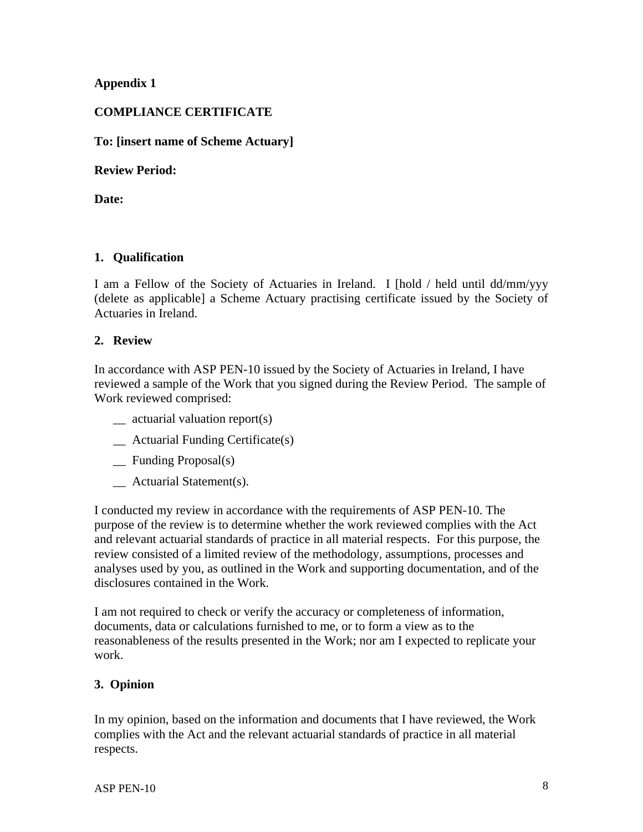# **Appendix 1**

# **COMPLIANCE CERTIFICATE**

## **To: [insert name of Scheme Actuary]**

#### **Review Period:**

**Date:** 

# **1. Qualification**

I am a Fellow of the Society of Actuaries in Ireland. I [hold / held until dd/mm/yyy (delete as applicable] a Scheme Actuary practising certificate issued by the Society of Actuaries in Ireland.

## **2. Review**

In accordance with ASP PEN-10 issued by the Society of Actuaries in Ireland, I have reviewed a sample of the Work that you signed during the Review Period. The sample of Work reviewed comprised:

- \_\_ actuarial valuation report(s)
- \_\_ Actuarial Funding Certificate(s)
- \_\_ Funding Proposal(s)
- \_\_ Actuarial Statement(s).

I conducted my review in accordance with the requirements of ASP PEN-10. The purpose of the review is to determine whether the work reviewed complies with the Act and relevant actuarial standards of practice in all material respects. For this purpose, the review consisted of a limited review of the methodology, assumptions, processes and analyses used by you, as outlined in the Work and supporting documentation, and of the disclosures contained in the Work.

I am not required to check or verify the accuracy or completeness of information, documents, data or calculations furnished to me, or to form a view as to the reasonableness of the results presented in the Work; nor am I expected to replicate your work.

# **3. Opinion**

In my opinion, based on the information and documents that I have reviewed, the Work complies with the Act and the relevant actuarial standards of practice in all material respects.